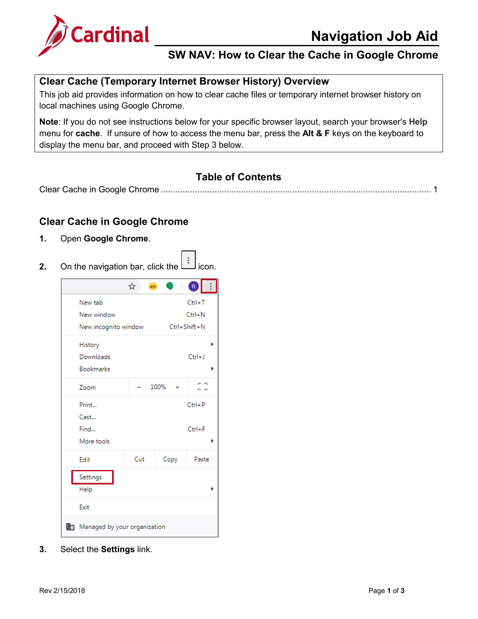

### **SW NAV: How to Clear the Cache in Google Chrome**

#### **Clear Cache (Temporary Internet Browser History) Overview**

This job aid provides information on how to clear cache files or temporary internet browser history on local machines using Google Chrome.

**Note**: If you do not see instructions below for your specific browser layout, search your browser's **Help** menu for **cache**. If unsure of how to access the menu bar, press the **Alt & F** keys on the keyboard to display the menu bar, and proceed with Step 3 below.

#### **Table of Contents**

Clear Cache in Google Chrome [...............................................................................................................](#page-0-0) 1

#### <span id="page-0-0"></span>**Clear Cache in Google Chrome**

- **1.** Open **Google Chrome**.
- **2.** On the navigation bar, click the  $\Box$  icon.



**3.** Select the **Settings** link.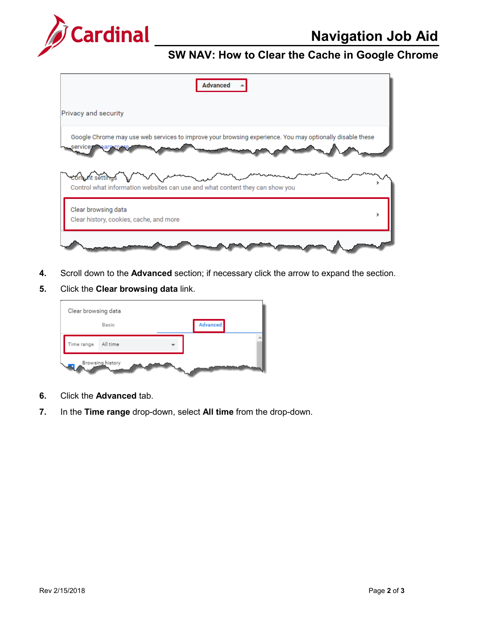

## **Navigation Job Aid**

## **SW NAV: How to Clear the Cache in Google Chrome**

| <b>Advanced</b>                                                                                                             |  |
|-----------------------------------------------------------------------------------------------------------------------------|--|
| Privacy and security                                                                                                        |  |
| Google Chrome may use web services to improve your browsing experience. You may optionally disable these<br>services earn m |  |
| com nt settings<br>Control what information websites can use and what content they can show you                             |  |
| Clear browsing data<br>Clear history, cookies, cache, and more                                                              |  |
|                                                                                                                             |  |

- **4.** Scroll down to the **Advanced** section; if necessary click the arrow to expand the section.
- **5.** Click the **Clear browsing data** link.



- **6.** Click the **Advanced** tab.
- **7.** In the **Time range** drop-down, select **All time** from the drop-down.